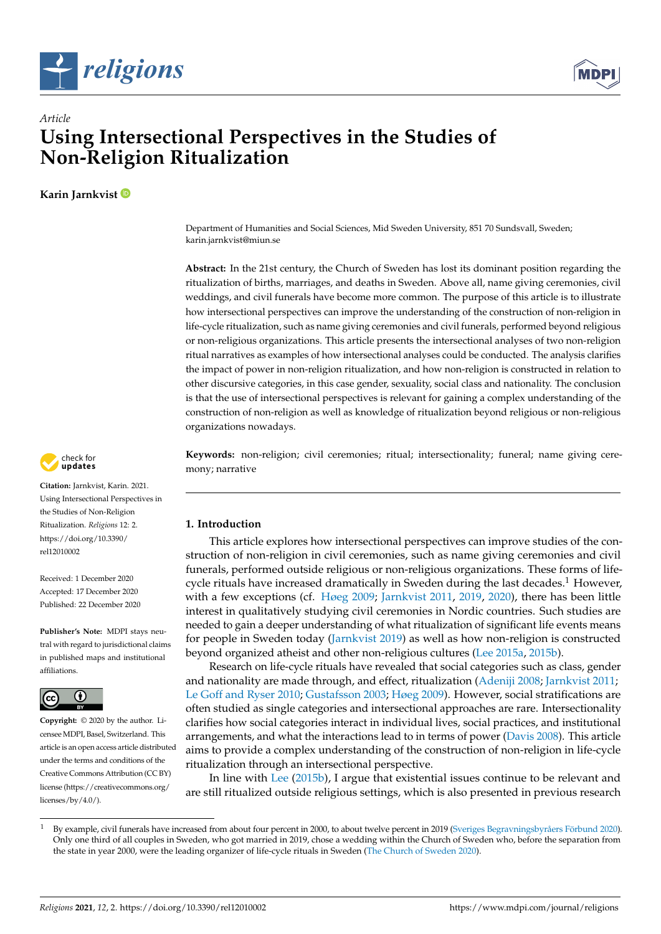



# *Article* **Using Intersectional Perspectives in the Studies of Non-Religion Ritualization**

**Karin Jarnkvist**

Department of Humanities and Social Sciences, Mid Sweden University, 851 70 Sundsvall, Sweden; karin.jarnkvist@miun.se

**Abstract:** In the 21st century, the Church of Sweden has lost its dominant position regarding the ritualization of births, marriages, and deaths in Sweden. Above all, name giving ceremonies, civil weddings, and civil funerals have become more common. The purpose of this article is to illustrate how intersectional perspectives can improve the understanding of the construction of non-religion in life-cycle ritualization, such as name giving ceremonies and civil funerals, performed beyond religious or non-religious organizations. This article presents the intersectional analyses of two non-religion ritual narratives as examples of how intersectional analyses could be conducted. The analysis clarifies the impact of power in non-religion ritualization, and how non-religion is constructed in relation to other discursive categories, in this case gender, sexuality, social class and nationality. The conclusion is that the use of intersectional perspectives is relevant for gaining a complex understanding of the construction of non-religion as well as knowledge of ritualization beyond religious or non-religious organizations nowadays.

**Keywords:** non-religion; civil ceremonies; ritual; intersectionality; funeral; name giving ceremony; narrative

# **1. Introduction**

This article explores how intersectional perspectives can improve studies of the construction of non-religion in civil ceremonies, such as name giving ceremonies and civil funerals, performed outside religious or non-religious organizations. These forms of lifecycle rituals have increased dramatically in Sweden during the last decades.<sup>1</sup> However, with a few exceptions (cf. [Høeg](#page-11-0) [2009;](#page-11-0) [Jarnkvist](#page-11-1) [2011,](#page-11-1) [2019,](#page-11-2) [2020\)](#page-11-3), there has been little interest in qualitatively studying civil ceremonies in Nordic countries. Such studies are needed to gain a deeper understanding of what ritualization of significant life events means for people in Sweden today [\(Jarnkvist](#page-11-2) [2019\)](#page-11-2) as well as how non-religion is constructed beyond organized atheist and other non-religious cultures [\(Lee](#page-11-4) [2015a,](#page-11-4) [2015b\)](#page-11-5).

Research on life-cycle rituals have revealed that social categories such as class, gender and nationality are made through, and effect, ritualization [\(Adeniji](#page-11-6) [2008;](#page-11-6) [Jarnkvist](#page-11-1) [2011;](#page-11-1) [Le Goff and Ryser](#page-11-7) [2010;](#page-11-7) [Gustafsson](#page-11-8) [2003;](#page-11-8) [Høeg](#page-11-0) [2009\)](#page-11-0). However, social stratifications are often studied as single categories and intersectional approaches are rare. Intersectionality clarifies how social categories interact in individual lives, social practices, and institutional arrangements, and what the interactions lead to in terms of power [\(Davis](#page-11-9) [2008\)](#page-11-9). This article aims to provide a complex understanding of the construction of non-religion in life-cycle ritualization through an intersectional perspective.

In line with [Lee](#page-11-5) [\(2015b\)](#page-11-5), I argue that existential issues continue to be relevant and are still ritualized outside religious settings, which is also presented in previous research



**Citation:** Jarnkvist, Karin. 2021. Using Intersectional Perspectives in the Studies of Non-Religion Ritualization. *Religions* 12: 2. [https://doi.org/10.3390/](https://doi.org/10.3390/rel12010002) [rel12010002](https://doi.org/10.3390/rel12010002)

Received: 1 December 2020 Accepted: 17 December 2020 Published: 22 December 2020

**Publisher's Note:** MDPI stays neutral with regard to jurisdictional claims in published maps and institutional affiliations.



**Copyright:** © 2020 by the author. Licensee MDPI, Basel, Switzerland. This article is an open access article distributed under the terms and conditions of the Creative Commons Attribution (CC BY) license [\(https://creativecommons.org/](https://creativecommons.org/licenses/by/4.0/) [licenses/by/4.0/\)](https://creativecommons.org/licenses/by/4.0/).

<sup>1</sup> By example, civil funerals have increased from about four percent in 2000, to about twelve percent in 2019 [\(Sveriges Begravningsbyråers Förbund](#page-12-0) [2020\)](#page-12-0). Only one third of all couples in Sweden, who got married in 2019, chose a wedding within the Church of Sweden who, before the separation from the state in year 2000, were the leading organizer of life-cycle rituals in Sweden [\(The Church of Sweden](#page-12-1) [2020\)](#page-12-1).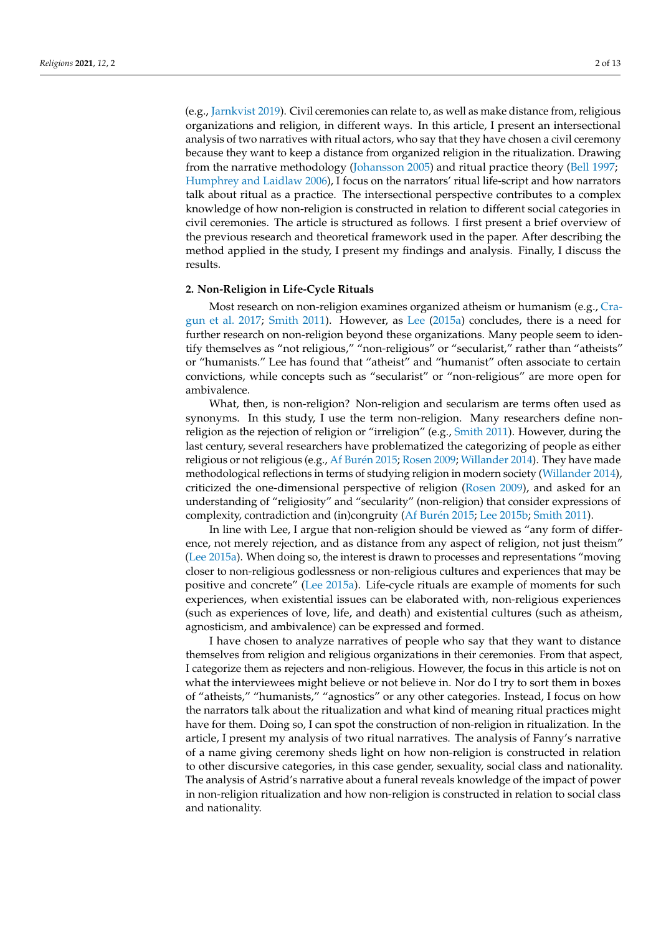(e.g., [Jarnkvist](#page-11-2) [2019\)](#page-11-2). Civil ceremonies can relate to, as well as make distance from, religious organizations and religion, in different ways. In this article, I present an intersectional analysis of two narratives with ritual actors, who say that they have chosen a civil ceremony because they want to keep a distance from organized religion in the ritualization. Drawing from the narrative methodology [\(Johansson](#page-11-10) [2005\)](#page-11-10) and ritual practice theory [\(Bell](#page-11-11) [1997;](#page-11-11) [Humphrey and Laidlaw](#page-11-12) [2006\)](#page-11-12), I focus on the narrators' ritual life-script and how narrators talk about ritual as a practice. The intersectional perspective contributes to a complex knowledge of how non-religion is constructed in relation to different social categories in civil ceremonies. The article is structured as follows. I first present a brief overview of the previous research and theoretical framework used in the paper. After describing the method applied in the study, I present my findings and analysis. Finally, I discuss the results.

# **2. Non-Religion in Life-Cycle Rituals**

Most research on non-religion examines organized atheism or humanism (e.g., [Cra](#page-11-13)[gun et al.](#page-11-13) [2017;](#page-11-13) [Smith](#page-12-2) [2011\)](#page-12-2). However, as [Lee](#page-11-4) [\(2015a\)](#page-11-4) concludes, there is a need for further research on non-religion beyond these organizations. Many people seem to identify themselves as "not religious," "non-religious" or "secularist," rather than "atheists" or "humanists." Lee has found that "atheist" and "humanist" often associate to certain convictions, while concepts such as "secularist" or "non-religious" are more open for ambivalence.

What, then, is non-religion? Non-religion and secularism are terms often used as synonyms. In this study, I use the term non-religion. Many researchers define nonreligion as the rejection of religion or "irreligion" (e.g., [Smith](#page-12-2) [2011\)](#page-12-2). However, during the last century, several researchers have problematized the categorizing of people as either religious or not religious (e.g., [Af Bur](#page-11-14)én [2015;](#page-11-14) [Rosen](#page-12-3) [2009;](#page-12-3) [Willander](#page-12-4) [2014\)](#page-12-4). They have made methodological reflections in terms of studying religion in modern society [\(Willander](#page-12-4) [2014\)](#page-12-4), criticized the one-dimensional perspective of religion [\(Rosen](#page-12-3) [2009\)](#page-12-3), and asked for an understanding of "religiosity" and "secularity" (non-religion) that consider expressions of complexity, contradiction and (in)congruity [\(Af Bur](#page-11-14)én [2015;](#page-11-14) [Lee](#page-11-5) [2015b;](#page-11-5) [Smith](#page-12-2) [2011\)](#page-12-2).

In line with Lee, I argue that non-religion should be viewed as "any form of difference, not merely rejection, and as distance from any aspect of religion, not just theism" [\(Lee](#page-11-4) [2015a\)](#page-11-4). When doing so, the interest is drawn to processes and representations "moving closer to non-religious godlessness or non-religious cultures and experiences that may be positive and concrete" [\(Lee](#page-11-4) [2015a\)](#page-11-4). Life-cycle rituals are example of moments for such experiences, when existential issues can be elaborated with, non-religious experiences (such as experiences of love, life, and death) and existential cultures (such as atheism, agnosticism, and ambivalence) can be expressed and formed.

I have chosen to analyze narratives of people who say that they want to distance themselves from religion and religious organizations in their ceremonies. From that aspect, I categorize them as rejecters and non-religious. However, the focus in this article is not on what the interviewees might believe or not believe in. Nor do I try to sort them in boxes of "atheists," "humanists," "agnostics" or any other categories. Instead, I focus on how the narrators talk about the ritualization and what kind of meaning ritual practices might have for them. Doing so, I can spot the construction of non-religion in ritualization. In the article, I present my analysis of two ritual narratives. The analysis of Fanny's narrative of a name giving ceremony sheds light on how non-religion is constructed in relation to other discursive categories, in this case gender, sexuality, social class and nationality. The analysis of Astrid's narrative about a funeral reveals knowledge of the impact of power in non-religion ritualization and how non-religion is constructed in relation to social class and nationality.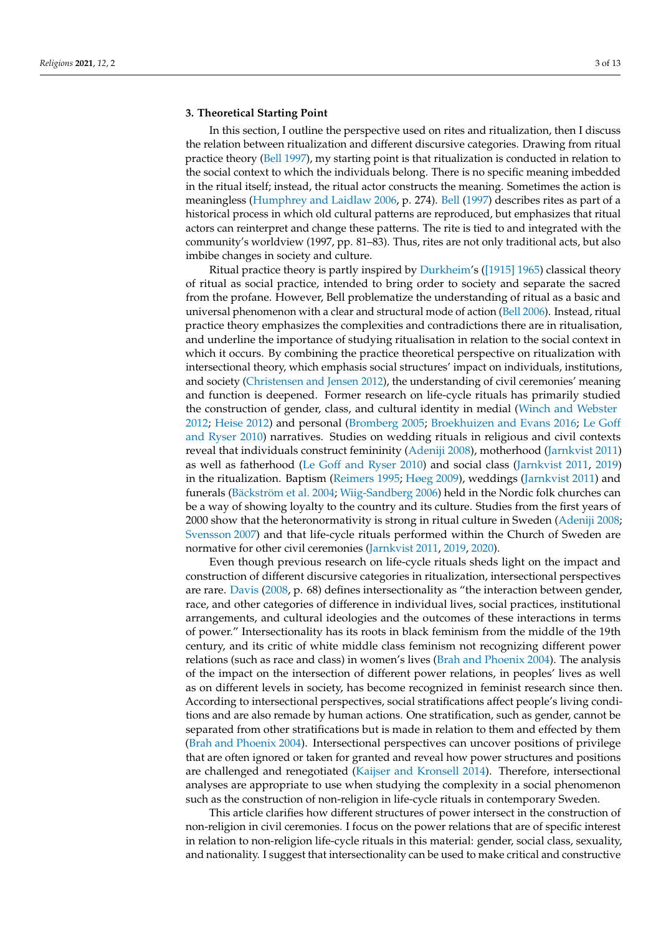# **3. Theoretical Starting Point**

In this section, I outline the perspective used on rites and ritualization, then I discuss the relation between ritualization and different discursive categories. Drawing from ritual practice theory [\(Bell](#page-11-11) [1997\)](#page-11-11), my starting point is that ritualization is conducted in relation to the social context to which the individuals belong. There is no specific meaning imbedded in the ritual itself; instead, the ritual actor constructs the meaning. Sometimes the action is meaningless [\(Humphrey and Laidlaw](#page-11-12) [2006,](#page-11-12) p. 274). [Bell](#page-11-11) [\(1997\)](#page-11-11) describes rites as part of a historical process in which old cultural patterns are reproduced, but emphasizes that ritual actors can reinterpret and change these patterns. The rite is tied to and integrated with the community's worldview (1997, pp. 81–83). Thus, rites are not only traditional acts, but also imbibe changes in society and culture.

Ritual practice theory is partly inspired by [Durkheim'](#page-11-15)s [\(\[1915\]](#page-11-15) 1965) classical theory of ritual as social practice, intended to bring order to society and separate the sacred from the profane. However, Bell problematize the understanding of ritual as a basic and universal phenomenon with a clear and structural mode of action [\(Bell](#page-11-16) [2006\)](#page-11-16). Instead, ritual practice theory emphasizes the complexities and contradictions there are in ritualisation, and underline the importance of studying ritualisation in relation to the social context in which it occurs. By combining the practice theoretical perspective on ritualization with intersectional theory, which emphasis social structures' impact on individuals, institutions, and society [\(Christensen and Jensen](#page-11-17) [2012\)](#page-11-17), the understanding of civil ceremonies' meaning and function is deepened. Former research on life-cycle rituals has primarily studied the construction of gender, class, and cultural identity in medial [\(Winch and Webster](#page-12-5) [2012;](#page-12-5) [Heise](#page-11-18) [2012\)](#page-11-18) and personal [\(Bromberg](#page-11-19) [2005;](#page-11-19) [Broekhuizen and Evans](#page-11-20) [2016;](#page-11-20) [Le Goff](#page-11-7) [and Ryser](#page-11-7) [2010\)](#page-11-7) narratives. Studies on wedding rituals in religious and civil contexts reveal that individuals construct femininity [\(Adeniji](#page-11-6) [2008\)](#page-11-6), motherhood [\(Jarnkvist](#page-11-1) [2011\)](#page-11-1) as well as fatherhood [\(Le Goff and Ryser](#page-11-7) [2010\)](#page-11-7) and social class [\(Jarnkvist](#page-11-1) [2011,](#page-11-1) [2019\)](#page-11-2) in the ritualization. Baptism [\(Reimers](#page-12-6) [1995;](#page-12-6) [Høeg](#page-11-0) [2009\)](#page-11-0), weddings [\(Jarnkvist](#page-11-1) [2011\)](#page-11-1) and funerals [\(Bäckström et al.](#page-11-21) [2004;](#page-11-21) [Wiig-Sandberg](#page-12-7) [2006\)](#page-12-7) held in the Nordic folk churches can be a way of showing loyalty to the country and its culture. Studies from the first years of 2000 show that the heteronormativity is strong in ritual culture in Sweden [\(Adeniji](#page-11-6) [2008;](#page-11-6) [Svensson](#page-12-8) [2007\)](#page-12-8) and that life-cycle rituals performed within the Church of Sweden are normative for other civil ceremonies [\(Jarnkvist](#page-11-1) [2011,](#page-11-1) [2019,](#page-11-2) [2020\)](#page-11-3).

Even though previous research on life-cycle rituals sheds light on the impact and construction of different discursive categories in ritualization, intersectional perspectives are rare. [Davis](#page-11-9) [\(2008,](#page-11-9) p. 68) defines intersectionality as "the interaction between gender, race, and other categories of difference in individual lives, social practices, institutional arrangements, and cultural ideologies and the outcomes of these interactions in terms of power." Intersectionality has its roots in black feminism from the middle of the 19th century, and its critic of white middle class feminism not recognizing different power relations (such as race and class) in women's lives [\(Brah and Phoenix](#page-11-22) [2004\)](#page-11-22). The analysis of the impact on the intersection of different power relations, in peoples' lives as well as on different levels in society, has become recognized in feminist research since then. According to intersectional perspectives, social stratifications affect people's living conditions and are also remade by human actions. One stratification, such as gender, cannot be separated from other stratifications but is made in relation to them and effected by them [\(Brah and Phoenix](#page-11-22) [2004\)](#page-11-22). Intersectional perspectives can uncover positions of privilege that are often ignored or taken for granted and reveal how power structures and positions are challenged and renegotiated [\(Kaijser and Kronsell](#page-11-23) [2014\)](#page-11-23). Therefore, intersectional analyses are appropriate to use when studying the complexity in a social phenomenon such as the construction of non-religion in life-cycle rituals in contemporary Sweden.

This article clarifies how different structures of power intersect in the construction of non-religion in civil ceremonies. I focus on the power relations that are of specific interest in relation to non-religion life-cycle rituals in this material: gender, social class, sexuality, and nationality. I suggest that intersectionality can be used to make critical and constructive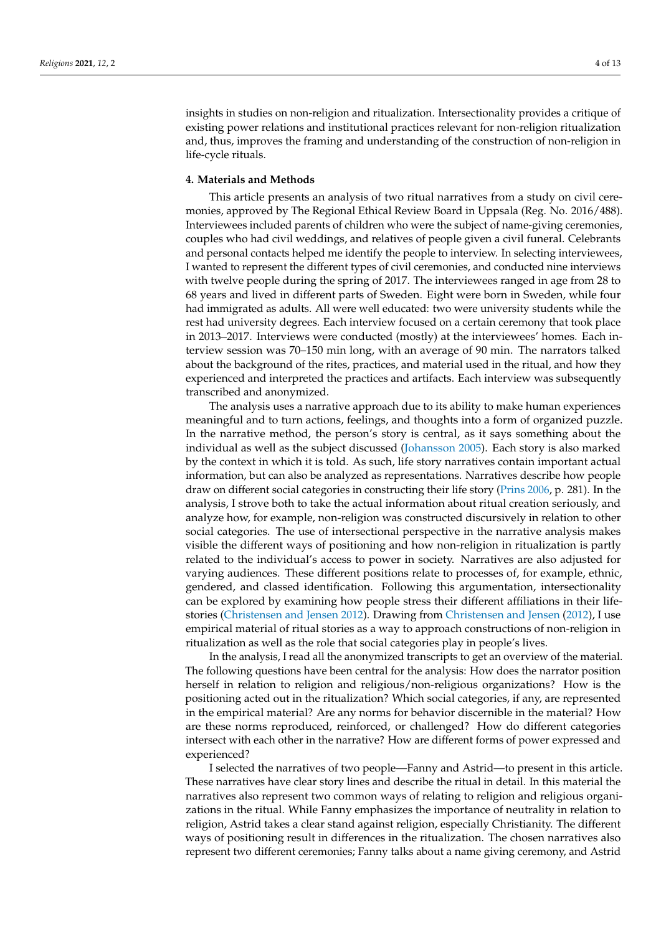insights in studies on non-religion and ritualization. Intersectionality provides a critique of existing power relations and institutional practices relevant for non-religion ritualization and, thus, improves the framing and understanding of the construction of non-religion in life-cycle rituals.

#### **4. Materials and Methods**

This article presents an analysis of two ritual narratives from a study on civil ceremonies, approved by The Regional Ethical Review Board in Uppsala (Reg. No. 2016/488). Interviewees included parents of children who were the subject of name-giving ceremonies, couples who had civil weddings, and relatives of people given a civil funeral. Celebrants and personal contacts helped me identify the people to interview. In selecting interviewees, I wanted to represent the different types of civil ceremonies, and conducted nine interviews with twelve people during the spring of 2017. The interviewees ranged in age from 28 to 68 years and lived in different parts of Sweden. Eight were born in Sweden, while four had immigrated as adults. All were well educated: two were university students while the rest had university degrees. Each interview focused on a certain ceremony that took place in 2013–2017. Interviews were conducted (mostly) at the interviewees' homes. Each interview session was 70–150 min long, with an average of 90 min. The narrators talked about the background of the rites, practices, and material used in the ritual, and how they experienced and interpreted the practices and artifacts. Each interview was subsequently transcribed and anonymized.

The analysis uses a narrative approach due to its ability to make human experiences meaningful and to turn actions, feelings, and thoughts into a form of organized puzzle. In the narrative method, the person's story is central, as it says something about the individual as well as the subject discussed [\(Johansson](#page-11-10) [2005\)](#page-11-10). Each story is also marked by the context in which it is told. As such, life story narratives contain important actual information, but can also be analyzed as representations. Narratives describe how people draw on different social categories in constructing their life story [\(Prins](#page-11-24) [2006,](#page-11-24) p. 281). In the analysis, I strove both to take the actual information about ritual creation seriously, and analyze how, for example, non-religion was constructed discursively in relation to other social categories. The use of intersectional perspective in the narrative analysis makes visible the different ways of positioning and how non-religion in ritualization is partly related to the individual's access to power in society. Narratives are also adjusted for varying audiences. These different positions relate to processes of, for example, ethnic, gendered, and classed identification. Following this argumentation, intersectionality can be explored by examining how people stress their different affiliations in their lifestories [\(Christensen and Jensen](#page-11-17) [2012\)](#page-11-17). Drawing from [Christensen and Jensen](#page-11-17) [\(2012\)](#page-11-17), I use empirical material of ritual stories as a way to approach constructions of non-religion in ritualization as well as the role that social categories play in people's lives.

In the analysis, I read all the anonymized transcripts to get an overview of the material. The following questions have been central for the analysis: How does the narrator position herself in relation to religion and religious/non-religious organizations? How is the positioning acted out in the ritualization? Which social categories, if any, are represented in the empirical material? Are any norms for behavior discernible in the material? How are these norms reproduced, reinforced, or challenged? How do different categories intersect with each other in the narrative? How are different forms of power expressed and experienced?

I selected the narratives of two people—Fanny and Astrid—to present in this article. These narratives have clear story lines and describe the ritual in detail. In this material the narratives also represent two common ways of relating to religion and religious organizations in the ritual. While Fanny emphasizes the importance of neutrality in relation to religion, Astrid takes a clear stand against religion, especially Christianity. The different ways of positioning result in differences in the ritualization. The chosen narratives also represent two different ceremonies; Fanny talks about a name giving ceremony, and Astrid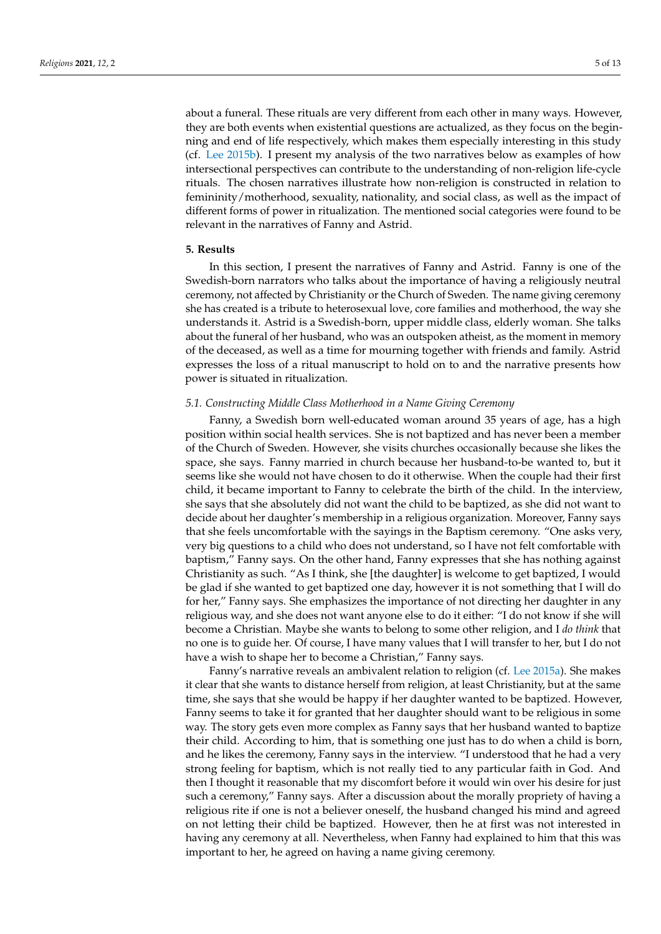about a funeral. These rituals are very different from each other in many ways. However, they are both events when existential questions are actualized, as they focus on the beginning and end of life respectively, which makes them especially interesting in this study (cf. [Lee](#page-11-5) [2015b\)](#page-11-5). I present my analysis of the two narratives below as examples of how intersectional perspectives can contribute to the understanding of non-religion life-cycle rituals. The chosen narratives illustrate how non-religion is constructed in relation to femininity/motherhood, sexuality, nationality, and social class, as well as the impact of different forms of power in ritualization. The mentioned social categories were found to be relevant in the narratives of Fanny and Astrid.

### **5. Results**

In this section, I present the narratives of Fanny and Astrid. Fanny is one of the Swedish-born narrators who talks about the importance of having a religiously neutral ceremony, not affected by Christianity or the Church of Sweden. The name giving ceremony she has created is a tribute to heterosexual love, core families and motherhood, the way she understands it. Astrid is a Swedish-born, upper middle class, elderly woman. She talks about the funeral of her husband, who was an outspoken atheist, as the moment in memory of the deceased, as well as a time for mourning together with friends and family. Astrid expresses the loss of a ritual manuscript to hold on to and the narrative presents how power is situated in ritualization.

#### *5.1. Constructing Middle Class Motherhood in a Name Giving Ceremony*

Fanny, a Swedish born well-educated woman around 35 years of age, has a high position within social health services. She is not baptized and has never been a member of the Church of Sweden. However, she visits churches occasionally because she likes the space, she says. Fanny married in church because her husband-to-be wanted to, but it seems like she would not have chosen to do it otherwise. When the couple had their first child, it became important to Fanny to celebrate the birth of the child. In the interview, she says that she absolutely did not want the child to be baptized, as she did not want to decide about her daughter's membership in a religious organization. Moreover, Fanny says that she feels uncomfortable with the sayings in the Baptism ceremony. "One asks very, very big questions to a child who does not understand, so I have not felt comfortable with baptism," Fanny says. On the other hand, Fanny expresses that she has nothing against Christianity as such. "As I think, she [the daughter] is welcome to get baptized, I would be glad if she wanted to get baptized one day, however it is not something that I will do for her," Fanny says. She emphasizes the importance of not directing her daughter in any religious way, and she does not want anyone else to do it either: "I do not know if she will become a Christian. Maybe she wants to belong to some other religion, and I *do think* that no one is to guide her. Of course, I have many values that I will transfer to her, but I do not have a wish to shape her to become a Christian," Fanny says.

Fanny's narrative reveals an ambivalent relation to religion (cf. [Lee](#page-11-4) [2015a\)](#page-11-4). She makes it clear that she wants to distance herself from religion, at least Christianity, but at the same time, she says that she would be happy if her daughter wanted to be baptized. However, Fanny seems to take it for granted that her daughter should want to be religious in some way. The story gets even more complex as Fanny says that her husband wanted to baptize their child. According to him, that is something one just has to do when a child is born, and he likes the ceremony, Fanny says in the interview. "I understood that he had a very strong feeling for baptism, which is not really tied to any particular faith in God. And then I thought it reasonable that my discomfort before it would win over his desire for just such a ceremony," Fanny says. After a discussion about the morally propriety of having a religious rite if one is not a believer oneself, the husband changed his mind and agreed on not letting their child be baptized. However, then he at first was not interested in having any ceremony at all. Nevertheless, when Fanny had explained to him that this was important to her, he agreed on having a name giving ceremony.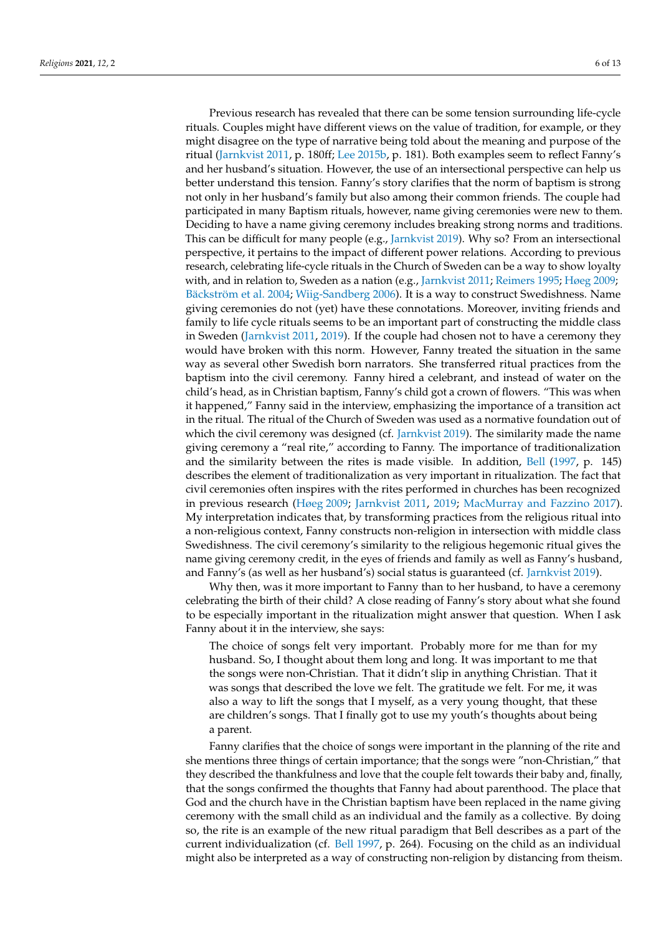Previous research has revealed that there can be some tension surrounding life-cycle rituals. Couples might have different views on the value of tradition, for example, or they might disagree on the type of narrative being told about the meaning and purpose of the ritual [\(Jarnkvist](#page-11-1) [2011,](#page-11-1) p. 180ff; [Lee](#page-11-5) [2015b,](#page-11-5) p. 181). Both examples seem to reflect Fanny's and her husband's situation. However, the use of an intersectional perspective can help us better understand this tension. Fanny's story clarifies that the norm of baptism is strong not only in her husband's family but also among their common friends. The couple had participated in many Baptism rituals, however, name giving ceremonies were new to them. Deciding to have a name giving ceremony includes breaking strong norms and traditions. This can be difficult for many people (e.g., [Jarnkvist](#page-11-2) [2019\)](#page-11-2). Why so? From an intersectional perspective, it pertains to the impact of different power relations. According to previous research, celebrating life-cycle rituals in the Church of Sweden can be a way to show loyalty with, and in relation to, Sweden as a nation (e.g., [Jarnkvist](#page-11-1) [2011;](#page-11-1) [Reimers](#page-12-6) [1995;](#page-12-6) [Høeg](#page-11-0) [2009;](#page-11-0) [Bäckström et al.](#page-11-21) [2004;](#page-11-21) [Wiig-Sandberg](#page-12-7) [2006\)](#page-12-7). It is a way to construct Swedishness. Name giving ceremonies do not (yet) have these connotations. Moreover, inviting friends and family to life cycle rituals seems to be an important part of constructing the middle class in Sweden [\(Jarnkvist](#page-11-1) [2011,](#page-11-1) [2019\)](#page-11-2). If the couple had chosen not to have a ceremony they would have broken with this norm. However, Fanny treated the situation in the same way as several other Swedish born narrators. She transferred ritual practices from the baptism into the civil ceremony. Fanny hired a celebrant, and instead of water on the child's head, as in Christian baptism, Fanny's child got a crown of flowers. "This was when it happened," Fanny said in the interview, emphasizing the importance of a transition act in the ritual. The ritual of the Church of Sweden was used as a normative foundation out of which the civil ceremony was designed (cf. [Jarnkvist](#page-11-2) [2019\)](#page-11-2). The similarity made the name giving ceremony a "real rite," according to Fanny. The importance of traditionalization and the similarity between the rites is made visible. In addition, [Bell](#page-11-11) [\(1997,](#page-11-11) p. 145) describes the element of traditionalization as very important in ritualization. The fact that civil ceremonies often inspires with the rites performed in churches has been recognized in previous research [\(Høeg](#page-11-0) [2009;](#page-11-0) [Jarnkvist](#page-11-1) [2011,](#page-11-1) [2019;](#page-11-2) [MacMurray and Fazzino](#page-11-25) [2017\)](#page-11-25). My interpretation indicates that, by transforming practices from the religious ritual into a non-religious context, Fanny constructs non-religion in intersection with middle class Swedishness. The civil ceremony's similarity to the religious hegemonic ritual gives the name giving ceremony credit, in the eyes of friends and family as well as Fanny's husband, and Fanny's (as well as her husband's) social status is guaranteed (cf. [Jarnkvist](#page-11-2) [2019\)](#page-11-2).

Why then, was it more important to Fanny than to her husband, to have a ceremony celebrating the birth of their child? A close reading of Fanny's story about what she found to be especially important in the ritualization might answer that question. When I ask Fanny about it in the interview, she says:

The choice of songs felt very important. Probably more for me than for my husband. So, I thought about them long and long. It was important to me that the songs were non-Christian. That it didn't slip in anything Christian. That it was songs that described the love we felt. The gratitude we felt. For me, it was also a way to lift the songs that I myself, as a very young thought, that these are children's songs. That I finally got to use my youth's thoughts about being a parent.

Fanny clarifies that the choice of songs were important in the planning of the rite and she mentions three things of certain importance; that the songs were "non-Christian," that they described the thankfulness and love that the couple felt towards their baby and, finally, that the songs confirmed the thoughts that Fanny had about parenthood. The place that God and the church have in the Christian baptism have been replaced in the name giving ceremony with the small child as an individual and the family as a collective. By doing so, the rite is an example of the new ritual paradigm that Bell describes as a part of the current individualization (cf. [Bell](#page-11-11) [1997,](#page-11-11) p. 264). Focusing on the child as an individual might also be interpreted as a way of constructing non-religion by distancing from theism.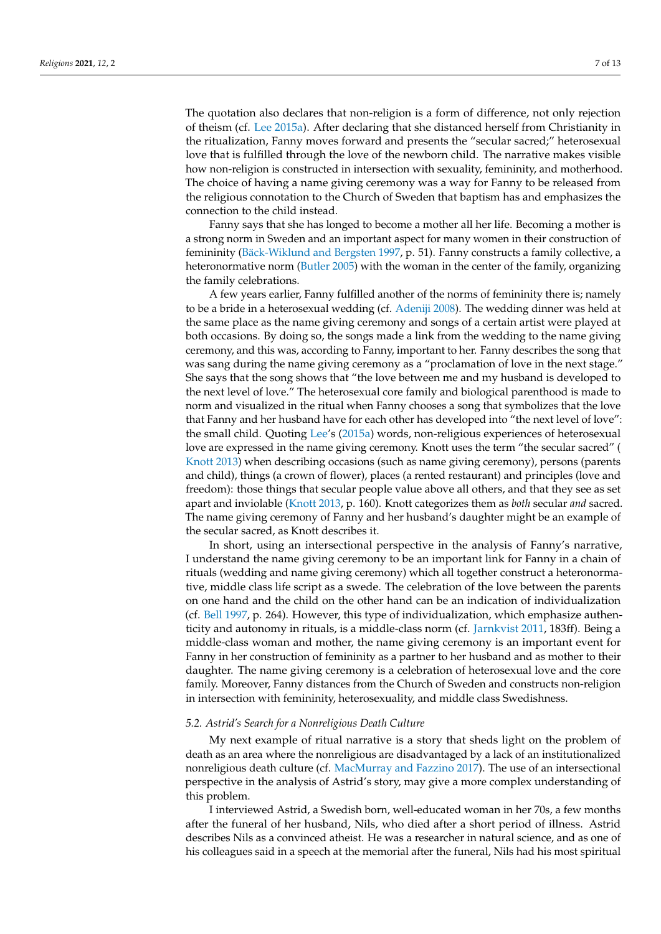The quotation also declares that non-religion is a form of difference, not only rejection of theism (cf. [Lee](#page-11-4) [2015a\)](#page-11-4). After declaring that she distanced herself from Christianity in the ritualization, Fanny moves forward and presents the "secular sacred;" heterosexual

love that is fulfilled through the love of the newborn child. The narrative makes visible how non-religion is constructed in intersection with sexuality, femininity, and motherhood. The choice of having a name giving ceremony was a way for Fanny to be released from the religious connotation to the Church of Sweden that baptism has and emphasizes the connection to the child instead.

Fanny says that she has longed to become a mother all her life. Becoming a mother is a strong norm in Sweden and an important aspect for many women in their construction of femininity [\(Bäck-Wiklund and Bergsten](#page-11-26) [1997,](#page-11-26) p. 51). Fanny constructs a family collective, a heteronormative norm [\(Butler](#page-11-27) [2005\)](#page-11-27) with the woman in the center of the family, organizing the family celebrations.

A few years earlier, Fanny fulfilled another of the norms of femininity there is; namely to be a bride in a heterosexual wedding (cf. [Adeniji](#page-11-6) [2008\)](#page-11-6). The wedding dinner was held at the same place as the name giving ceremony and songs of a certain artist were played at both occasions. By doing so, the songs made a link from the wedding to the name giving ceremony, and this was, according to Fanny, important to her. Fanny describes the song that was sang during the name giving ceremony as a "proclamation of love in the next stage." She says that the song shows that "the love between me and my husband is developed to the next level of love." The heterosexual core family and biological parenthood is made to norm and visualized in the ritual when Fanny chooses a song that symbolizes that the love that Fanny and her husband have for each other has developed into "the next level of love": the small child. Quoting [Lee'](#page-11-4)s [\(2015a\)](#page-11-4) words, non-religious experiences of heterosexual love are expressed in the name giving ceremony. Knott uses the term "the secular sacred" [\(](#page-11-28) [Knott](#page-11-28) [2013\)](#page-11-28) when describing occasions (such as name giving ceremony), persons (parents and child), things (a crown of flower), places (a rented restaurant) and principles (love and freedom): those things that secular people value above all others, and that they see as set apart and inviolable [\(Knott](#page-11-28) [2013,](#page-11-28) p. 160). Knott categorizes them as *both* secular *and* sacred. The name giving ceremony of Fanny and her husband's daughter might be an example of the secular sacred, as Knott describes it.

In short, using an intersectional perspective in the analysis of Fanny's narrative, I understand the name giving ceremony to be an important link for Fanny in a chain of rituals (wedding and name giving ceremony) which all together construct a heteronormative, middle class life script as a swede. The celebration of the love between the parents on one hand and the child on the other hand can be an indication of individualization (cf. [Bell](#page-11-11) [1997,](#page-11-11) p. 264). However, this type of individualization, which emphasize authenticity and autonomy in rituals, is a middle-class norm (cf. [Jarnkvist](#page-11-1) [2011,](#page-11-1) 183ff). Being a middle-class woman and mother, the name giving ceremony is an important event for Fanny in her construction of femininity as a partner to her husband and as mother to their daughter. The name giving ceremony is a celebration of heterosexual love and the core family. Moreover, Fanny distances from the Church of Sweden and constructs non-religion in intersection with femininity, heterosexuality, and middle class Swedishness.

# *5.2. Astrid's Search for a Nonreligious Death Culture*

My next example of ritual narrative is a story that sheds light on the problem of death as an area where the nonreligious are disadvantaged by a lack of an institutionalized nonreligious death culture (cf. [MacMurray and Fazzino](#page-11-25) [2017\)](#page-11-25). The use of an intersectional perspective in the analysis of Astrid's story, may give a more complex understanding of this problem.

I interviewed Astrid, a Swedish born, well-educated woman in her 70s, a few months after the funeral of her husband, Nils, who died after a short period of illness. Astrid describes Nils as a convinced atheist. He was a researcher in natural science, and as one of his colleagues said in a speech at the memorial after the funeral, Nils had his most spiritual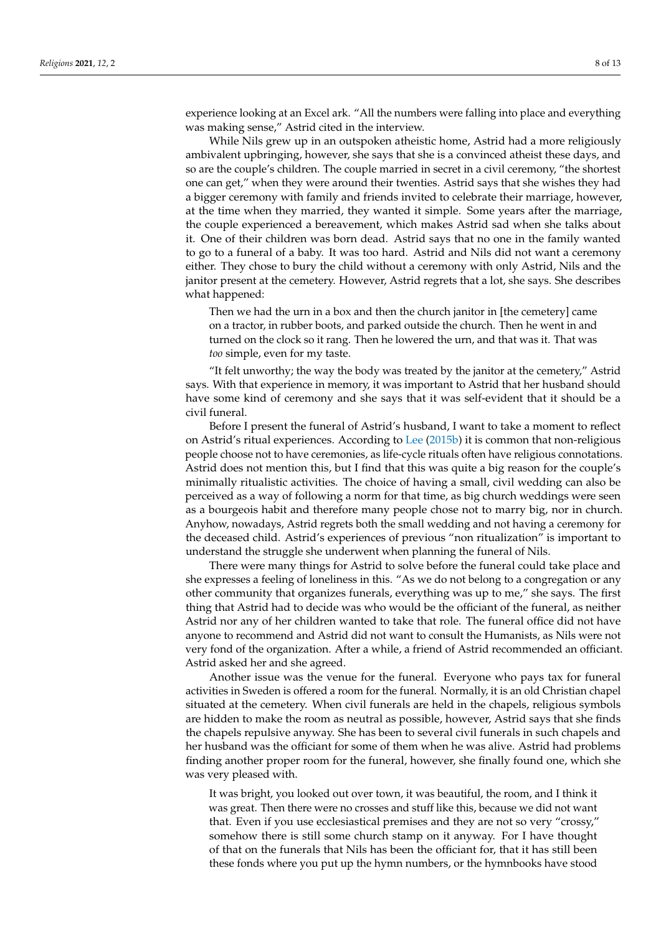experience looking at an Excel ark. "All the numbers were falling into place and everything was making sense," Astrid cited in the interview.

While Nils grew up in an outspoken atheistic home, Astrid had a more religiously ambivalent upbringing, however, she says that she is a convinced atheist these days, and so are the couple's children. The couple married in secret in a civil ceremony, "the shortest one can get," when they were around their twenties. Astrid says that she wishes they had a bigger ceremony with family and friends invited to celebrate their marriage, however, at the time when they married, they wanted it simple. Some years after the marriage, the couple experienced a bereavement, which makes Astrid sad when she talks about it. One of their children was born dead. Astrid says that no one in the family wanted to go to a funeral of a baby. It was too hard. Astrid and Nils did not want a ceremony either. They chose to bury the child without a ceremony with only Astrid, Nils and the janitor present at the cemetery. However, Astrid regrets that a lot, she says. She describes what happened:

Then we had the urn in a box and then the church janitor in [the cemetery] came on a tractor, in rubber boots, and parked outside the church. Then he went in and turned on the clock so it rang. Then he lowered the urn, and that was it. That was *too* simple, even for my taste.

"It felt unworthy; the way the body was treated by the janitor at the cemetery," Astrid says. With that experience in memory, it was important to Astrid that her husband should have some kind of ceremony and she says that it was self-evident that it should be a civil funeral.

Before I present the funeral of Astrid's husband, I want to take a moment to reflect on Astrid's ritual experiences. According to [Lee](#page-11-5) [\(2015b\)](#page-11-5) it is common that non-religious people choose not to have ceremonies, as life-cycle rituals often have religious connotations. Astrid does not mention this, but I find that this was quite a big reason for the couple's minimally ritualistic activities. The choice of having a small, civil wedding can also be perceived as a way of following a norm for that time, as big church weddings were seen as a bourgeois habit and therefore many people chose not to marry big, nor in church. Anyhow, nowadays, Astrid regrets both the small wedding and not having a ceremony for the deceased child. Astrid's experiences of previous "non ritualization" is important to understand the struggle she underwent when planning the funeral of Nils.

There were many things for Astrid to solve before the funeral could take place and she expresses a feeling of loneliness in this. "As we do not belong to a congregation or any other community that organizes funerals, everything was up to me," she says. The first thing that Astrid had to decide was who would be the officiant of the funeral, as neither Astrid nor any of her children wanted to take that role. The funeral office did not have anyone to recommend and Astrid did not want to consult the Humanists, as Nils were not very fond of the organization. After a while, a friend of Astrid recommended an officiant. Astrid asked her and she agreed.

Another issue was the venue for the funeral. Everyone who pays tax for funeral activities in Sweden is offered a room for the funeral. Normally, it is an old Christian chapel situated at the cemetery. When civil funerals are held in the chapels, religious symbols are hidden to make the room as neutral as possible, however, Astrid says that she finds the chapels repulsive anyway. She has been to several civil funerals in such chapels and her husband was the officiant for some of them when he was alive. Astrid had problems finding another proper room for the funeral, however, she finally found one, which she was very pleased with.

It was bright, you looked out over town, it was beautiful, the room, and I think it was great. Then there were no crosses and stuff like this, because we did not want that. Even if you use ecclesiastical premises and they are not so very "crossy," somehow there is still some church stamp on it anyway. For I have thought of that on the funerals that Nils has been the officiant for, that it has still been these fonds where you put up the hymn numbers, or the hymnbooks have stood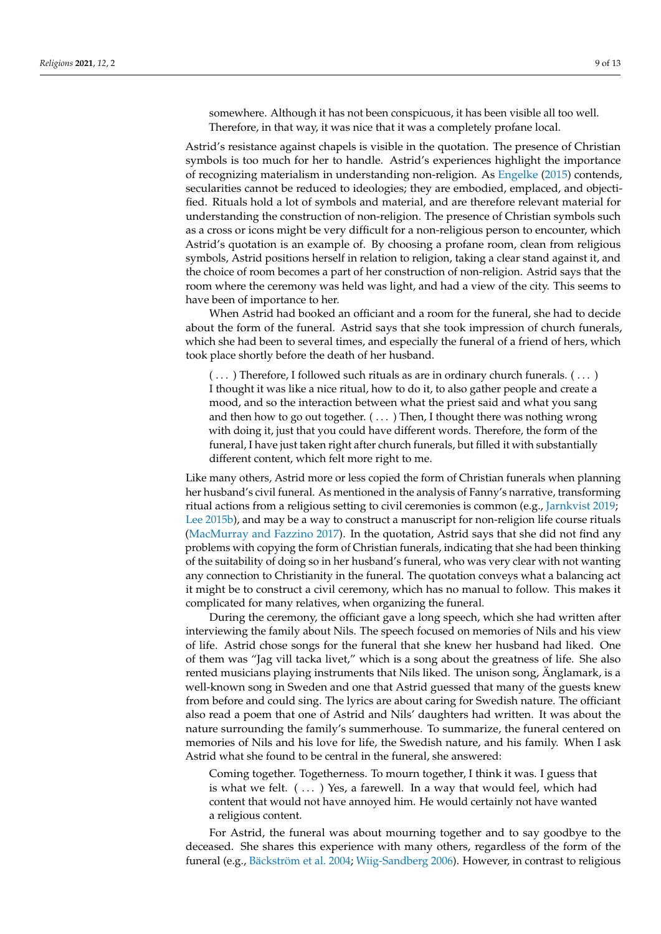somewhere. Although it has not been conspicuous, it has been visible all too well. Therefore, in that way, it was nice that it was a completely profane local.

Astrid's resistance against chapels is visible in the quotation. The presence of Christian symbols is too much for her to handle. Astrid's experiences highlight the importance of recognizing materialism in understanding non-religion. As [Engelke](#page-11-29) [\(2015\)](#page-11-29) contends, secularities cannot be reduced to ideologies; they are embodied, emplaced, and objectified. Rituals hold a lot of symbols and material, and are therefore relevant material for understanding the construction of non-religion. The presence of Christian symbols such as a cross or icons might be very difficult for a non-religious person to encounter, which Astrid's quotation is an example of. By choosing a profane room, clean from religious symbols, Astrid positions herself in relation to religion, taking a clear stand against it, and the choice of room becomes a part of her construction of non-religion. Astrid says that the room where the ceremony was held was light, and had a view of the city. This seems to have been of importance to her.

When Astrid had booked an officiant and a room for the funeral, she had to decide about the form of the funeral. Astrid says that she took impression of church funerals, which she had been to several times, and especially the funeral of a friend of hers, which took place shortly before the death of her husband.

( . . . ) Therefore, I followed such rituals as are in ordinary church funerals. ( . . . ) I thought it was like a nice ritual, how to do it, to also gather people and create a mood, and so the interaction between what the priest said and what you sang and then how to go out together. ( ... ) Then, I thought there was nothing wrong with doing it, just that you could have different words. Therefore, the form of the funeral, I have just taken right after church funerals, but filled it with substantially different content, which felt more right to me.

Like many others, Astrid more or less copied the form of Christian funerals when planning her husband's civil funeral. As mentioned in the analysis of Fanny's narrative, transforming ritual actions from a religious setting to civil ceremonies is common (e.g., [Jarnkvist](#page-11-2) [2019;](#page-11-2) [Lee](#page-11-5) [2015b\)](#page-11-5), and may be a way to construct a manuscript for non-religion life course rituals [\(MacMurray and Fazzino](#page-11-25) [2017\)](#page-11-25). In the quotation, Astrid says that she did not find any problems with copying the form of Christian funerals, indicating that she had been thinking of the suitability of doing so in her husband's funeral, who was very clear with not wanting any connection to Christianity in the funeral. The quotation conveys what a balancing act it might be to construct a civil ceremony, which has no manual to follow. This makes it complicated for many relatives, when organizing the funeral.

During the ceremony, the officiant gave a long speech, which she had written after interviewing the family about Nils. The speech focused on memories of Nils and his view of life. Astrid chose songs for the funeral that she knew her husband had liked. One of them was "Jag vill tacka livet," which is a song about the greatness of life. She also rented musicians playing instruments that Nils liked. The unison song, Änglamark, is a well-known song in Sweden and one that Astrid guessed that many of the guests knew from before and could sing. The lyrics are about caring for Swedish nature. The officiant also read a poem that one of Astrid and Nils' daughters had written. It was about the nature surrounding the family's summerhouse. To summarize, the funeral centered on memories of Nils and his love for life, the Swedish nature, and his family. When I ask Astrid what she found to be central in the funeral, she answered:

Coming together. Togetherness. To mourn together, I think it was. I guess that is what we felt.  $( \ldots )$  Yes, a farewell. In a way that would feel, which had content that would not have annoyed him. He would certainly not have wanted a religious content.

For Astrid, the funeral was about mourning together and to say goodbye to the deceased. She shares this experience with many others, regardless of the form of the funeral (e.g., [Bäckström et al.](#page-11-21) [2004;](#page-11-21) [Wiig-Sandberg](#page-12-7) [2006\)](#page-12-7). However, in contrast to religious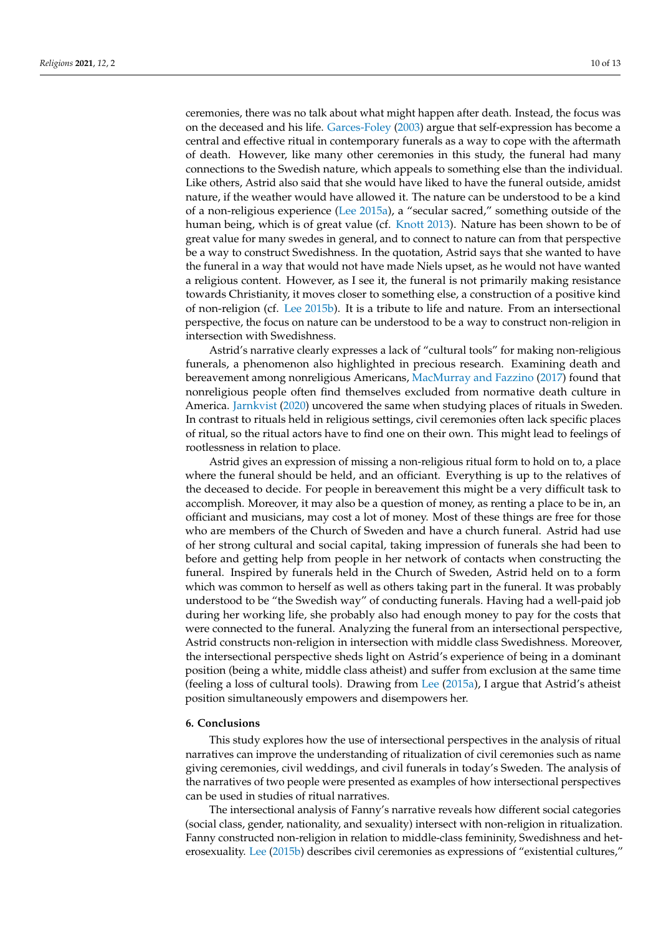ceremonies, there was no talk about what might happen after death. Instead, the focus was on the deceased and his life. [Garces-Foley](#page-11-30) [\(2003\)](#page-11-30) argue that self-expression has become a central and effective ritual in contemporary funerals as a way to cope with the aftermath of death. However, like many other ceremonies in this study, the funeral had many connections to the Swedish nature, which appeals to something else than the individual. Like others, Astrid also said that she would have liked to have the funeral outside, amidst nature, if the weather would have allowed it. The nature can be understood to be a kind of a non-religious experience [\(Lee](#page-11-4) [2015a\)](#page-11-4), a "secular sacred," something outside of the human being, which is of great value (cf. [Knott](#page-11-28) [2013\)](#page-11-28). Nature has been shown to be of great value for many swedes in general, and to connect to nature can from that perspective be a way to construct Swedishness. In the quotation, Astrid says that she wanted to have the funeral in a way that would not have made Niels upset, as he would not have wanted a religious content. However, as I see it, the funeral is not primarily making resistance towards Christianity, it moves closer to something else, a construction of a positive kind of non-religion (cf. [Lee](#page-11-5) [2015b\)](#page-11-5). It is a tribute to life and nature. From an intersectional perspective, the focus on nature can be understood to be a way to construct non-religion in intersection with Swedishness.

Astrid's narrative clearly expresses a lack of "cultural tools" for making non-religious funerals, a phenomenon also highlighted in precious research. Examining death and bereavement among nonreligious Americans, [MacMurray and Fazzino](#page-11-25) [\(2017\)](#page-11-25) found that nonreligious people often find themselves excluded from normative death culture in America. [Jarnkvist](#page-11-3) [\(2020\)](#page-11-3) uncovered the same when studying places of rituals in Sweden. In contrast to rituals held in religious settings, civil ceremonies often lack specific places of ritual, so the ritual actors have to find one on their own. This might lead to feelings of rootlessness in relation to place.

Astrid gives an expression of missing a non-religious ritual form to hold on to, a place where the funeral should be held, and an officiant. Everything is up to the relatives of the deceased to decide. For people in bereavement this might be a very difficult task to accomplish. Moreover, it may also be a question of money, as renting a place to be in, an officiant and musicians, may cost a lot of money. Most of these things are free for those who are members of the Church of Sweden and have a church funeral. Astrid had use of her strong cultural and social capital, taking impression of funerals she had been to before and getting help from people in her network of contacts when constructing the funeral. Inspired by funerals held in the Church of Sweden, Astrid held on to a form which was common to herself as well as others taking part in the funeral. It was probably understood to be "the Swedish way" of conducting funerals. Having had a well-paid job during her working life, she probably also had enough money to pay for the costs that were connected to the funeral. Analyzing the funeral from an intersectional perspective, Astrid constructs non-religion in intersection with middle class Swedishness. Moreover, the intersectional perspective sheds light on Astrid's experience of being in a dominant position (being a white, middle class atheist) and suffer from exclusion at the same time (feeling a loss of cultural tools). Drawing from [Lee](#page-11-4) [\(2015a\)](#page-11-4), I argue that Astrid's atheist position simultaneously empowers and disempowers her.

# **6. Conclusions**

This study explores how the use of intersectional perspectives in the analysis of ritual narratives can improve the understanding of ritualization of civil ceremonies such as name giving ceremonies, civil weddings, and civil funerals in today's Sweden. The analysis of the narratives of two people were presented as examples of how intersectional perspectives can be used in studies of ritual narratives.

The intersectional analysis of Fanny's narrative reveals how different social categories (social class, gender, nationality, and sexuality) intersect with non-religion in ritualization. Fanny constructed non-religion in relation to middle-class femininity, Swedishness and heterosexuality. [Lee](#page-11-5) [\(2015b\)](#page-11-5) describes civil ceremonies as expressions of "existential cultures,"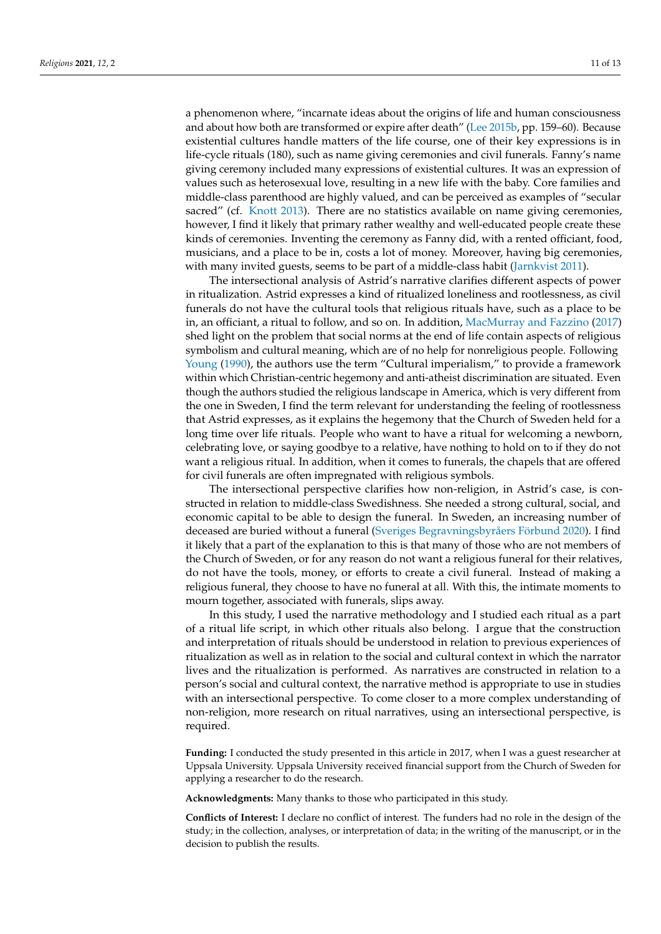a phenomenon where, "incarnate ideas about the origins of life and human consciousness and about how both are transformed or expire after death" [\(Lee](#page-11-5) [2015b,](#page-11-5) pp. 159–60). Because existential cultures handle matters of the life course, one of their key expressions is in life-cycle rituals (180), such as name giving ceremonies and civil funerals. Fanny's name giving ceremony included many expressions of existential cultures. It was an expression of values such as heterosexual love, resulting in a new life with the baby. Core families and middle-class parenthood are highly valued, and can be perceived as examples of "secular sacred" (cf. [Knott](#page-11-28) [2013\)](#page-11-28). There are no statistics available on name giving ceremonies, however, I find it likely that primary rather wealthy and well-educated people create these kinds of ceremonies. Inventing the ceremony as Fanny did, with a rented officiant, food, musicians, and a place to be in, costs a lot of money. Moreover, having big ceremonies, with many invited guests, seems to be part of a middle-class habit [\(Jarnkvist](#page-11-1) [2011\)](#page-11-1).

The intersectional analysis of Astrid's narrative clarifies different aspects of power in ritualization. Astrid expresses a kind of ritualized loneliness and rootlessness, as civil funerals do not have the cultural tools that religious rituals have, such as a place to be in, an officiant, a ritual to follow, and so on. In addition, [MacMurray and Fazzino](#page-11-25) [\(2017\)](#page-11-25) shed light on the problem that social norms at the end of life contain aspects of religious symbolism and cultural meaning, which are of no help for nonreligious people. Following [Young](#page-12-9) [\(1990\)](#page-12-9), the authors use the term "Cultural imperialism," to provide a framework within which Christian-centric hegemony and anti-atheist discrimination are situated. Even though the authors studied the religious landscape in America, which is very different from the one in Sweden, I find the term relevant for understanding the feeling of rootlessness that Astrid expresses, as it explains the hegemony that the Church of Sweden held for a long time over life rituals. People who want to have a ritual for welcoming a newborn, celebrating love, or saying goodbye to a relative, have nothing to hold on to if they do not want a religious ritual. In addition, when it comes to funerals, the chapels that are offered for civil funerals are often impregnated with religious symbols.

The intersectional perspective clarifies how non-religion, in Astrid's case, is constructed in relation to middle-class Swedishness. She needed a strong cultural, social, and economic capital to be able to design the funeral. In Sweden, an increasing number of deceased are buried without a funeral [\(Sveriges Begravningsbyråers Förbund](#page-12-0) [2020\)](#page-12-0). I find it likely that a part of the explanation to this is that many of those who are not members of the Church of Sweden, or for any reason do not want a religious funeral for their relatives, do not have the tools, money, or efforts to create a civil funeral. Instead of making a religious funeral, they choose to have no funeral at all. With this, the intimate moments to mourn together, associated with funerals, slips away.

In this study, I used the narrative methodology and I studied each ritual as a part of a ritual life script, in which other rituals also belong. I argue that the construction and interpretation of rituals should be understood in relation to previous experiences of ritualization as well as in relation to the social and cultural context in which the narrator lives and the ritualization is performed. As narratives are constructed in relation to a person's social and cultural context, the narrative method is appropriate to use in studies with an intersectional perspective. To come closer to a more complex understanding of non-religion, more research on ritual narratives, using an intersectional perspective, is required.

**Funding:** I conducted the study presented in this article in 2017, when I was a guest researcher at Uppsala University. Uppsala University received financial support from the Church of Sweden for applying a researcher to do the research.

**Acknowledgments:** Many thanks to those who participated in this study.

**Conflicts of Interest:** I declare no conflict of interest. The funders had no role in the design of the study; in the collection, analyses, or interpretation of data; in the writing of the manuscript, or in the decision to publish the results.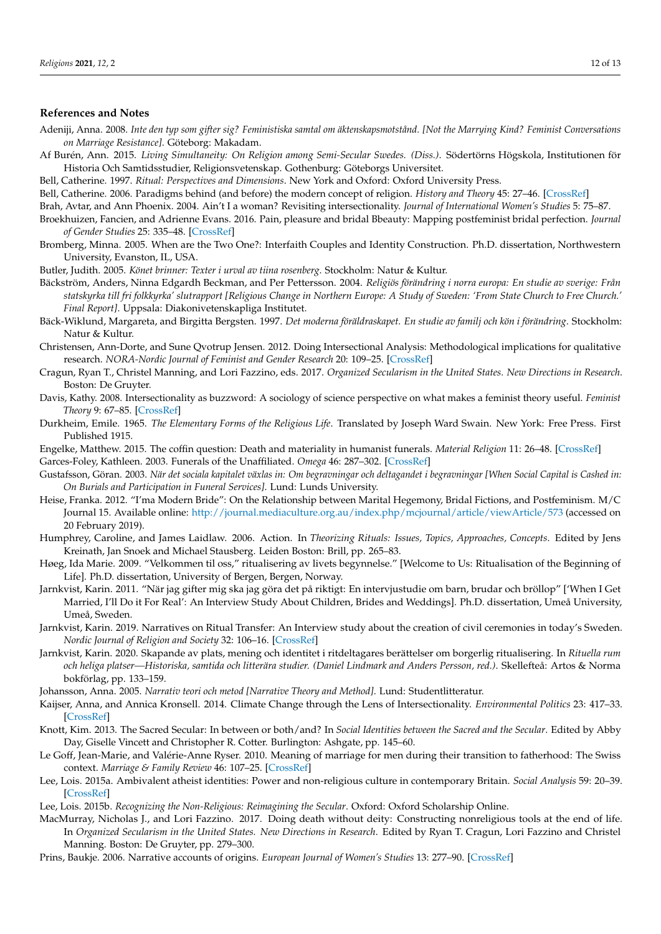# **References and Notes**

- <span id="page-11-6"></span>Adeniji, Anna. 2008. *Inte den typ som gifter sig? Feministiska samtal om äktenskapsmotstånd. [Not the Marrying Kind? Feminist Conversations on Marriage Resistance]*. Göteborg: Makadam.
- <span id="page-11-14"></span>Af Burén, Ann. 2015. *Living Simultaneity: On Religion among Semi-Secular Swedes. (Diss.)*. Södertörns Högskola, Institutionen för Historia Och Samtidsstudier, Religionsvetenskap. Gothenburg: Göteborgs Universitet.
- <span id="page-11-11"></span>Bell, Catherine. 1997. *Ritual: Perspectives and Dimensions*. New York and Oxford: Oxford University Press.

<span id="page-11-16"></span>Bell, Catherine. 2006. Paradigms behind (and before) the modern concept of religion. *History and Theory* 45: 27–46. [\[CrossRef\]](http://dx.doi.org/10.1111/j.1468-2303.2006.00382.x)

- <span id="page-11-22"></span>Brah, Avtar, and Ann Phoenix. 2004. Ain't I a woman? Revisiting intersectionality. *Journal of International Women's Studies* 5: 75–87.
- <span id="page-11-20"></span>Broekhuizen, Fancien, and Adrienne Evans. 2016. Pain, pleasure and bridal Bbeauty: Mapping postfeminist bridal perfection. *Journal of Gender Studies* 25: 335–48. [\[CrossRef\]](http://dx.doi.org/10.1080/09589236.2014.959478)
- <span id="page-11-19"></span>Bromberg, Minna. 2005. When are the Two One?: Interfaith Couples and Identity Construction. Ph.D. dissertation, Northwestern University, Evanston, IL, USA.
- <span id="page-11-27"></span>Butler, Judith. 2005. *Könet brinner: Texter i urval av tiina rosenberg*. Stockholm: Natur & Kultur.
- <span id="page-11-21"></span>Bäckström, Anders, Ninna Edgardh Beckman, and Per Pettersson. 2004. *Religiös förändring i norra europa: En studie av sverige: Från statskyrka till fri folkkyrka' slutrapport [Religious Change in Northern Europe: A Study of Sweden: 'From State Church to Free Church.' Final Report]*. Uppsala: Diakonivetenskapliga Institutet.
- <span id="page-11-26"></span>Bäck-Wiklund, Margareta, and Birgitta Bergsten. 1997. *Det moderna föräldraskapet. En studie av familj och kön i förändring*. Stockholm: Natur & Kultur.
- <span id="page-11-17"></span>Christensen, Ann-Dorte, and Sune Qvotrup Jensen. 2012. Doing Intersectional Analysis: Methodological implications for qualitative research. *NORA-Nordic Journal of Feminist and Gender Research* 20: 109–25. [\[CrossRef\]](http://dx.doi.org/10.1080/08038740.2012.673505)
- <span id="page-11-13"></span>Cragun, Ryan T., Christel Manning, and Lori Fazzino, eds. 2017. *Organized Secularism in the United States. New Directions in Research*. Boston: De Gruyter.
- <span id="page-11-9"></span>Davis, Kathy. 2008. Intersectionality as buzzword: A sociology of science perspective on what makes a feminist theory useful. *Feminist Theory* 9: 67–85. [\[CrossRef\]](http://dx.doi.org/10.1177/1464700108086364)
- <span id="page-11-15"></span>Durkheim, Emile. 1965. *The Elementary Forms of the Religious Life*. Translated by Joseph Ward Swain. New York: Free Press. First Published 1915.
- <span id="page-11-29"></span>Engelke, Matthew. 2015. The coffin question: Death and materiality in humanist funerals. *Material Religion* 11: 26–48. [\[CrossRef\]](http://dx.doi.org/10.2752/205393215X14259900061553)
- <span id="page-11-30"></span><span id="page-11-8"></span>Garces-Foley, Kathleen. 2003. Funerals of the Unaffiliated. *Omega* 46: 287–302. [\[CrossRef\]](http://dx.doi.org/10.2190/P8AR-4AHN-8Q3K-VY76) Gustafsson, Göran. 2003. *När det sociala kapitalet växlas in: Om begravningar och deltagandet i begravningar [When Social Capital is Cashed in: On Burials and Participation in Funeral Services]*. Lund: Lunds University.
- <span id="page-11-18"></span>Heise, Franka. 2012. "I'ma Modern Bride": On the Relationship between Marital Hegemony, Bridal Fictions, and Postfeminism. M/C Journal 15. Available online: <http://journal.mediaculture.org.au/index.php/mcjournal/article/viewArticle/573> (accessed on 20 February 2019).
- <span id="page-11-12"></span>Humphrey, Caroline, and James Laidlaw. 2006. Action. In *Theorizing Rituals: Issues, Topics, Approaches, Concepts*. Edited by Jens Kreinath, Jan Snoek and Michael Stausberg. Leiden Boston: Brill, pp. 265–83.
- <span id="page-11-0"></span>Høeg, Ida Marie. 2009. "Velkommen til oss," ritualisering av livets begynnelse." [Welcome to Us: Ritualisation of the Beginning of Life]. Ph.D. dissertation, University of Bergen, Bergen, Norway.
- <span id="page-11-1"></span>Jarnkvist, Karin. 2011. "När jag gifter mig ska jag göra det på riktigt: En intervjustudie om barn, brudar och bröllop" ['When I Get Married, I'll Do it For Real': An Interview Study About Children, Brides and Weddings]. Ph.D. dissertation, Umeå University, Umeå, Sweden.
- <span id="page-11-2"></span>Jarnkvist, Karin. 2019. Narratives on Ritual Transfer: An Interview study about the creation of civil ceremonies in today's Sweden. *Nordic Journal of Religion and Society* 32: 106–16. [\[CrossRef\]](http://dx.doi.org/10.18261/issn.1890-7008-2019-02-01)
- <span id="page-11-3"></span>Jarnkvist, Karin. 2020. Skapande av plats, mening och identitet i ritdeltagares berättelser om borgerlig ritualisering. In *Rituella rum och heliga platser—Historiska, samtida och litterära studier. (Daniel Lindmark and Anders Persson, red.)*. Skellefteå: Artos & Norma bokförlag, pp. 133–159.
- <span id="page-11-10"></span>Johansson, Anna. 2005. *Narrativ teori och metod [Narrative Theory and Method]*. Lund: Studentlitteratur.
- <span id="page-11-23"></span>Kaijser, Anna, and Annica Kronsell. 2014. Climate Change through the Lens of Intersectionality. *Environmental Politics* 23: 417–33. [\[CrossRef\]](http://dx.doi.org/10.1080/09644016.2013.835203)
- <span id="page-11-28"></span>Knott, Kim. 2013. The Sacred Secular: In between or both/and? In *Social Identities between the Sacred and the Secular*. Edited by Abby Day, Giselle Vincett and Christopher R. Cotter. Burlington: Ashgate, pp. 145–60.
- <span id="page-11-7"></span>Le Goff, Jean-Marie, and Valérie-Anne Ryser. 2010. Meaning of marriage for men during their transition to fatherhood: The Swiss context. *Marriage & Family Review* 46: 107–25. [\[CrossRef\]](http://dx.doi.org/10.1080/01494921003648654)
- <span id="page-11-4"></span>Lee, Lois. 2015a. Ambivalent atheist identities: Power and non-religious culture in contemporary Britain. *Social Analysis* 59: 20–39. [\[CrossRef\]](http://dx.doi.org/10.3167/sa.2015.590202)
- <span id="page-11-5"></span>Lee, Lois. 2015b. *Recognizing the Non-Religious: Reimagining the Secular*. Oxford: Oxford Scholarship Online.
- <span id="page-11-25"></span>MacMurray, Nicholas J., and Lori Fazzino. 2017. Doing death without deity: Constructing nonreligious tools at the end of life. In *Organized Secularism in the United States. New Directions in Research*. Edited by Ryan T. Cragun, Lori Fazzino and Christel Manning. Boston: De Gruyter, pp. 279–300.
- <span id="page-11-24"></span>Prins, Baukje. 2006. Narrative accounts of origins. *European Journal of Women's Studies* 13: 277–90. [\[CrossRef\]](http://dx.doi.org/10.1177/1350506806065757)